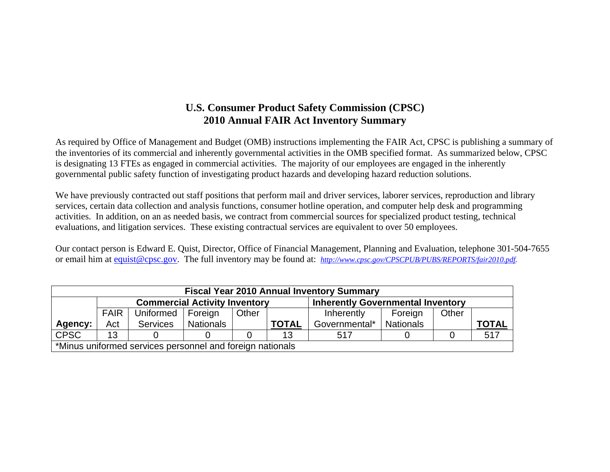## **U.S. Consumer Product Safety Commission (CPSC) 2010 Annual FAIR Act Inventory Summary**

As required by Office of Management and Budget (OMB) instructions implementing the FAIR Act, CPSC is publishing a summary of the inventories of its commercial and inherently governmental activities in the OMB specified format. As summarized below, CPSC is designating 13 FTEs as engaged in commercial activities. The majority of our employees are engaged in the inherently governmental public safety function of investigating product hazards and developing hazard reduction solutions.

We have previously contracted out staff positions that perform mail and driver services, laborer services, reproduction and library services, certain data collection and analysis functions, consumer hotline operation, and computer help desk and programming activities. In addition, on an as needed basis, we contract from commercial sources for specialized product testing, technical evaluations, and litigation services. These existing contractual services are equivalent to over 50 employees.

Our contact person is Edward E. Quist, Director, Office of Financial Management, Planning and Evaluation, telephone 301-504-7655 or email him at equist@cpsc.gov. The full inventory may be found at: *http://www.cpsc.gov/CPSCPUB/PUBS/REPORTS/fair2010.pdf.* 

|             |             |                                                                                  |           |       |              | <b>Fiscal Year 2010 Annual Inventory Summary</b> |                  |       |              |  |
|-------------|-------------|----------------------------------------------------------------------------------|-----------|-------|--------------|--------------------------------------------------|------------------|-------|--------------|--|
|             |             | <b>Commercial Activity Inventory</b><br><b>Inherently Governmental Inventory</b> |           |       |              |                                                  |                  |       |              |  |
|             | <b>FAIR</b> | Uniformed                                                                        | Foreign   | Other |              | Inherently                                       | Foreign          | Other |              |  |
| Agency:     | Act         | <b>Services</b>                                                                  | Nationals |       | <b>TOTAL</b> | Governmental*                                    | <b>Nationals</b> |       | <b>TOTAL</b> |  |
| <b>CPSC</b> | 13          |                                                                                  |           |       | 13           | 517                                              |                  |       | 517          |  |
|             |             | *Minus uniformed services personnel and foreign nationals                        |           |       |              |                                                  |                  |       |              |  |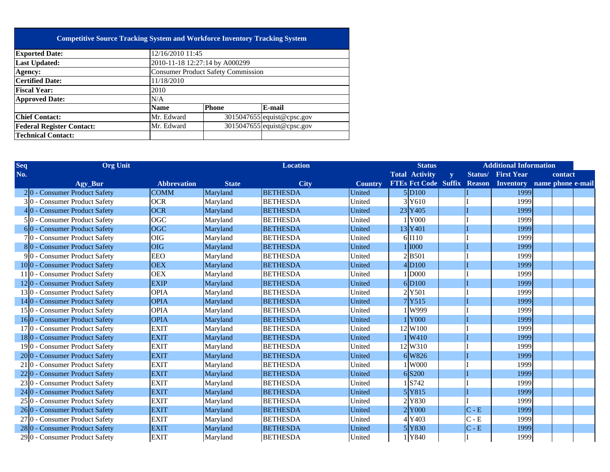## **Competitive Source Tracking System and Workforce Inventory Tracking System**

| <b>Exported Date:</b>            | 12/16/2010 11:45               |                                           |                            |  |  |  |  |  |  |  |
|----------------------------------|--------------------------------|-------------------------------------------|----------------------------|--|--|--|--|--|--|--|
| <b>Last Updated:</b>             | 2010-11-18 12:27:14 by A000299 |                                           |                            |  |  |  |  |  |  |  |
| Agency:                          |                                | <b>Consumer Product Safety Commission</b> |                            |  |  |  |  |  |  |  |
| <b>Certified Date:</b>           | 11/18/2010                     |                                           |                            |  |  |  |  |  |  |  |
| <b>Fiscal Year:</b>              | 2010                           |                                           |                            |  |  |  |  |  |  |  |
| <b>Approved Date:</b>            | N/A                            |                                           |                            |  |  |  |  |  |  |  |
|                                  | <b>Name</b>                    | <b>Phone</b>                              | E-mail                     |  |  |  |  |  |  |  |
| <b>Chief Contact:</b>            | Mr. Edward                     |                                           | 3015047655 equist@cpsc.gov |  |  |  |  |  |  |  |
| <b>Federal Register Contact:</b> | Mr. Edward                     |                                           | 3015047655 equist@cpsc.gov |  |  |  |  |  |  |  |
| <b>Technical Contact:</b>        |                                |                                           |                            |  |  |  |  |  |  |  |
|                                  |                                |                                           |                            |  |  |  |  |  |  |  |

| Seq | <b>Org Unit</b>                             |                    |              | <b>Location</b> |                | <b>Status</b>                                           |              |         | <b>Additional Information</b> |         |  |
|-----|---------------------------------------------|--------------------|--------------|-----------------|----------------|---------------------------------------------------------|--------------|---------|-------------------------------|---------|--|
| No. |                                             |                    |              |                 |                | <b>Total Activity</b>                                   | $\mathbf{y}$ |         | <b>Status/ First Year</b>     | contact |  |
|     | Agy_Bur                                     | <b>Abbrevation</b> | <b>State</b> | <b>City</b>     | <b>Country</b> | FTEs Fct Code Suffix Reason Inventory name phone e-mail |              |         |                               |         |  |
|     | $2 0 -$ Consumer Product Safety             | <b>COMM</b>        | Maryland     | <b>BETHESDA</b> | United         | 5 D100                                                  |              |         | 1999                          |         |  |
|     | 30 - Consumer Product Safety                | <b>OCR</b>         | Maryland     | <b>BETHESDA</b> | United         | 3Y610                                                   |              |         | 1999                          |         |  |
|     | $4 0$ - Consumer Product Safety             | OCR                | Maryland     | <b>BETHESDA</b> | United         | 23 Y405                                                 |              |         | 1999                          |         |  |
|     | $5 0$ - Consumer Product Safety             | <b>OGC</b>         | Maryland     | <b>BETHESDA</b> | United         | <b>Y000</b>                                             |              |         | 1999                          |         |  |
|     | $6 0$ - Consumer Product Safety             | OGC                | Maryland     | <b>BETHESDA</b> | United         | 13 Y401                                                 |              |         | 1999                          |         |  |
|     | 70 - Consumer Product Safety                | <b>OIG</b>         | Maryland     | <b>BETHESDA</b> | United         | 6 I110                                                  |              |         | 1999                          |         |  |
|     | 80 - Consumer Product Safety                | <b>OIG</b>         | Maryland     | <b>BETHESDA</b> | United         | 1 1000                                                  |              |         | 1999                          |         |  |
|     | $9 0$ - Consumer Product Safety             | <b>EEO</b>         | Maryland     | <b>BETHESDA</b> | United         | 2 B501                                                  |              |         | 1999                          |         |  |
|     | 100 - Consumer Product Safety               | <b>OEX</b>         | Maryland     | <b>BETHESDA</b> | United         | 4 D100                                                  |              |         | 1999                          |         |  |
|     | 11 <sup>0</sup> - Consumer Product Safety   | <b>OEX</b>         | Maryland     | <b>BETHESDA</b> | United         | 1 D000                                                  |              |         | 1999                          |         |  |
|     | 120 - Consumer Product Safety               | <b>EXIP</b>        | Maryland     | <b>BETHESDA</b> | United         | 6 D100                                                  |              |         | 1999                          |         |  |
|     | 130 - Consumer Product Safety               | <b>OPIA</b>        | Maryland     | <b>BETHESDA</b> | United         | 2 Y501                                                  |              |         | 1999                          |         |  |
|     | $14 0$ - Consumer Product Safety            | <b>OPIA</b>        | Maryland     | <b>BETHESDA</b> | United         | 7Y515                                                   |              |         | 1999                          |         |  |
|     | 15 <sup>0</sup> - Consumer Product Safety   | <b>OPIA</b>        | Maryland     | <b>BETHESDA</b> | United         | W999                                                    |              |         | 1999                          |         |  |
|     | 160 - Consumer Product Safety               | <b>OPIA</b>        | Maryland     | <b>BETHESDA</b> | United         | 1 Y000                                                  |              |         | 1999                          |         |  |
|     | 17 <sup>0</sup> - Consumer Product Safety   | <b>EXIT</b>        | Maryland     | <b>BETHESDA</b> | United         | 12 W100                                                 |              |         | 1999                          |         |  |
|     | 180 - Consumer Product Safety               | <b>EXIT</b>        | Maryland     | <b>BETHESDA</b> | United         | 1 W410                                                  |              |         | 1999                          |         |  |
|     | 190 - Consumer Product Safety               | <b>EXIT</b>        | Maryland     | <b>BETHESDA</b> | United         | 12 W310                                                 |              |         | 1999                          |         |  |
|     | 20 <sup>o</sup> - Consumer Product Safety   | <b>EXIT</b>        | Maryland     | <b>BETHESDA</b> | United         | 6 W826                                                  |              |         | 1999                          |         |  |
|     | 21 0 - Consumer Product Safety              | <b>EXIT</b>        | Maryland     | <b>BETHESDA</b> | United         | <b>W000</b>                                             |              |         | 1999                          |         |  |
|     | 22 <sup>[0</sup> - Consumer Product Safety  | <b>EXIT</b>        | Maryland     | <b>BETHESDA</b> | United         | 6 S200                                                  |              |         | 1999                          |         |  |
|     | 230 - Consumer Product Safety               | <b>EXIT</b>        | Maryland     | <b>BETHESDA</b> | United         | S742                                                    |              |         | 1999                          |         |  |
|     | 24 <sup> </sup> 0 - Consumer Product Safety | <b>EXIT</b>        | Maryland     | <b>BETHESDA</b> | United         | 5 Y815                                                  |              |         | 1999                          |         |  |
|     | 25 <sup>o</sup> - Consumer Product Safety   | <b>EXIT</b>        | Maryland     | <b>BETHESDA</b> | United         | 2Y830                                                   |              |         | 1999                          |         |  |
|     | 26 <sup>o</sup> - Consumer Product Safety   | <b>EXIT</b>        | Maryland     | <b>BETHESDA</b> | United         | 2Y000                                                   |              | $C - E$ | 1999                          |         |  |
|     | 27 <sup>o</sup> - Consumer Product Safety   | <b>EXIT</b>        | Maryland     | <b>BETHESDA</b> | United         | 4Y403                                                   |              | $C - E$ | 1999                          |         |  |
|     | 280 - Consumer Product Safety               | <b>EXIT</b>        | Maryland     | <b>BETHESDA</b> | United         | 5Y830                                                   |              | $C - E$ | 1999                          |         |  |
|     | 29 <sup>[0]</sup> - Consumer Product Safety | <b>EXIT</b>        | Maryland     | <b>BETHESDA</b> | United         | 1Y840                                                   |              |         | 1999                          |         |  |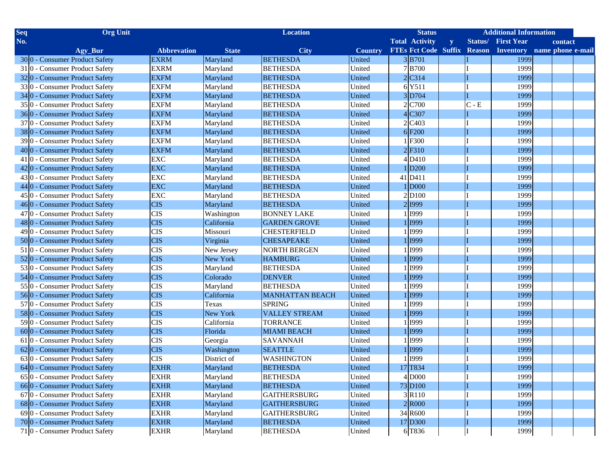| <b>Seq</b> | <b>Org Unit</b>                           |                    |              | <b>Location</b>        |                | <b>Status</b>                                           |              |         | <b>Additional Information</b> |         |  |
|------------|-------------------------------------------|--------------------|--------------|------------------------|----------------|---------------------------------------------------------|--------------|---------|-------------------------------|---------|--|
| No.        |                                           |                    |              |                        |                | <b>Total Activity</b>                                   | $\mathbf{y}$ |         | <b>Status/ First Year</b>     | contact |  |
|            | Agy_Bur                                   | <b>Abbrevation</b> | <b>State</b> | <b>City</b>            | <b>Country</b> | FTEs Fct Code Suffix Reason Inventory name phone e-mail |              |         |                               |         |  |
|            | 300 - Consumer Product Safety             | <b>EXRM</b>        | Maryland     | <b>BETHESDA</b>        | United         | 3 B701                                                  |              |         | 1999                          |         |  |
|            | 31 0 - Consumer Product Safety            | <b>EXRM</b>        | Maryland     | <b>BETHESDA</b>        | United         | $7$ B <sub>700</sub>                                    |              |         | 1999                          |         |  |
|            | 320 - Consumer Product Safety             | <b>EXFM</b>        | Maryland     | <b>BETHESDA</b>        | United         | $2$ C314                                                |              |         | 1999                          |         |  |
|            | 330 - Consumer Product Safety             | <b>EXFM</b>        | Maryland     | <b>BETHESDA</b>        | United         | 6Y511                                                   |              |         | 1999                          |         |  |
|            | 34 0 - Consumer Product Safety            | <b>EXFM</b>        | Maryland     | <b>BETHESDA</b>        | United         | 3 D704                                                  |              |         | 1999                          |         |  |
|            | 35 <sup>0</sup> - Consumer Product Safety | <b>EXFM</b>        | Maryland     | <b>BETHESDA</b>        | United         | 2 C700                                                  |              | $C - E$ | 1999                          |         |  |
|            | 360 - Consumer Product Safety             | <b>EXFM</b>        | Maryland     | <b>BETHESDA</b>        | United         | C307                                                    |              |         | 1999                          |         |  |
|            | 37 <sup>0</sup> - Consumer Product Safety | <b>EXFM</b>        | Maryland     | <b>BETHESDA</b>        | United         | 2 C <sub>403</sub>                                      |              |         | 1999                          |         |  |
|            | 380 - Consumer Product Safety             | <b>EXFM</b>        | Maryland     | <b>BETHESDA</b>        | United         | 6F200                                                   |              |         | 1999                          |         |  |
|            | 39 0 - Consumer Product Safety            | <b>EXFM</b>        | Maryland     | <b>BETHESDA</b>        | United         | F300                                                    |              |         | 1999                          |         |  |
|            | 40 <sup>o</sup> - Consumer Product Safety | <b>EXFM</b>        | Maryland     | <b>BETHESDA</b>        | United         | $2$ F310                                                |              |         | 1999                          |         |  |
|            | 41 0 - Consumer Product Safety            | <b>EXC</b>         | Maryland     | <b>BETHESDA</b>        | United         | $4$ D $410$                                             |              |         | 1999                          |         |  |
|            | 420 - Consumer Product Safety             | <b>EXC</b>         | Maryland     | <b>BETHESDA</b>        | United         | D <sub>200</sub>                                        |              |         | 1999                          |         |  |
|            | 430 - Consumer Product Safety             | <b>EXC</b>         | Maryland     | <b>BETHESDA</b>        | United         | 41 D411                                                 |              |         | 1999                          |         |  |
|            | 44 <sup>0</sup> - Consumer Product Safety | <b>EXC</b>         | Maryland     | <b>BETHESDA</b>        | United         | <b>D000</b>                                             |              |         | 1999                          |         |  |
|            | $45 0$ - Consumer Product Safety          | <b>EXC</b>         | Maryland     | <b>BETHESDA</b>        | United         | 2D100                                                   |              |         | 1999                          |         |  |
|            | 46 <sup>0</sup> - Consumer Product Safety | <b>CIS</b>         | Maryland     | <b>BETHESDA</b>        | United         | 2 1999                                                  |              |         | 1999                          |         |  |
|            | $47 0$ - Consumer Product Safety          | <b>CIS</b>         | Washington   | <b>BONNEY LAKE</b>     | United         | <b>I999</b>                                             |              |         | 1999                          |         |  |
|            | 48 0 - Consumer Product Safety            | <b>CIS</b>         | California   | <b>GARDEN GROVE</b>    | United         | <b>I</b> 999                                            |              |         | 1999                          |         |  |
|            | $49 0$ - Consumer Product Safety          | <b>CIS</b>         | Missouri     | <b>CHESTERFIELD</b>    | United         | <b>I999</b>                                             |              |         | 1999                          |         |  |
|            | 500 - Consumer Product Safety             | <b>CIS</b>         | Virginia     | <b>CHESAPEAKE</b>      | United         | 1999                                                    |              |         | 1999                          |         |  |
|            | 51 0 - Consumer Product Safety            | <b>CIS</b>         | New Jersey   | <b>NORTH BERGEN</b>    | United         | <b>I999</b>                                             |              |         | 1999                          |         |  |
|            | 520 - Consumer Product Safety             | <b>CIS</b>         | New York     | <b>HAMBURG</b>         | United         | <b>I999</b>                                             |              |         | 1999                          |         |  |
|            | 530 - Consumer Product Safety             | <b>CIS</b>         | Maryland     | <b>BETHESDA</b>        | United         | <b>I999</b>                                             |              |         | 1999                          |         |  |
|            | 54 0 - Consumer Product Safety            | <b>CIS</b>         | Colorado     | <b>DENVER</b>          | United         | 1 1999                                                  |              |         | 1999                          |         |  |
|            | 550 - Consumer Product Safety             | <b>CIS</b>         | Maryland     | <b>BETHESDA</b>        | United         | <b>I999</b>                                             |              |         | 1999                          |         |  |
|            | 560 - Consumer Product Safety             | <b>CIS</b>         | California   | <b>MANHATTAN BEACH</b> | United         | 1 I999                                                  |              |         | 1999                          |         |  |
|            | 57 <sup>0</sup> - Consumer Product Safety | <b>CIS</b>         | Texas        | <b>SPRING</b>          | United         | <b>I999</b>                                             |              |         | 1999                          |         |  |
|            | 580 - Consumer Product Safety             | <b>CIS</b>         | New York     | <b>VALLEY STREAM</b>   | United         | 1 I999                                                  |              |         | 1999                          |         |  |
|            | 590 - Consumer Product Safety             | <b>CIS</b>         | California   | <b>TORRANCE</b>        | United         | <b>I999</b>                                             |              |         | 1999                          |         |  |
|            | $60 0$ - Consumer Product Safety          | <b>CIS</b>         | Florida      | <b>MIAMI BEACH</b>     | United         | 1 I999                                                  |              |         | 1999                          |         |  |
|            | 61 0 - Consumer Product Safety            | <b>CIS</b>         | Georgia      | <b>SAVANNAH</b>        | United         | <b>I999</b>                                             |              |         | 1999                          |         |  |
|            | 620 - Consumer Product Safety             | <b>CIS</b>         | Washington   | <b>SEATTLE</b>         | United         | 1 I999                                                  |              |         | 1999                          |         |  |
|            | $63 0$ - Consumer Product Safety          | <b>CIS</b>         | District of  | <b>WASHINGTON</b>      | United         | <b>I999</b>                                             |              |         | 1999                          |         |  |
|            | 64 0 - Consumer Product Safety            | <b>EXHR</b>        | Maryland     | <b>BETHESDA</b>        | United         | 17 T834                                                 |              |         | 1999                          |         |  |
|            | 650 - Consumer Product Safety             | <b>EXHR</b>        | Maryland     | <b>BETHESDA</b>        | United         | 4 D000                                                  |              |         | 1999                          |         |  |
|            | 660 - Consumer Product Safety             | <b>EXHR</b>        | Maryland     | <b>BETHESDA</b>        | United         | 73 D <sub>100</sub>                                     |              |         | 1999                          |         |  |
|            | 67 0 - Consumer Product Safety            | <b>EXHR</b>        | Maryland     | <b>GAITHERSBURG</b>    | United         | 3R110                                                   |              |         | 1999                          |         |  |
|            | 680 - Consumer Product Safety             | <b>EXHR</b>        | Maryland     | <b>GAITHERSBURG</b>    | United         | 2 R000                                                  |              |         | 1999                          |         |  |
|            | 690 - Consumer Product Safety             | <b>EXHR</b>        | Maryland     | <b>GAITHERSBURG</b>    | United         | 34 R600                                                 |              |         | 1999                          |         |  |
|            | 700 - Consumer Product Safety             | <b>EXHR</b>        | Maryland     | <b>BETHESDA</b>        | United         | 17 D300                                                 |              |         | 1999                          |         |  |
|            | 71 0 - Consumer Product Safety            | <b>EXHR</b>        | Maryland     | <b>BETHESDA</b>        | United         | 6 T836                                                  |              |         | 1999                          |         |  |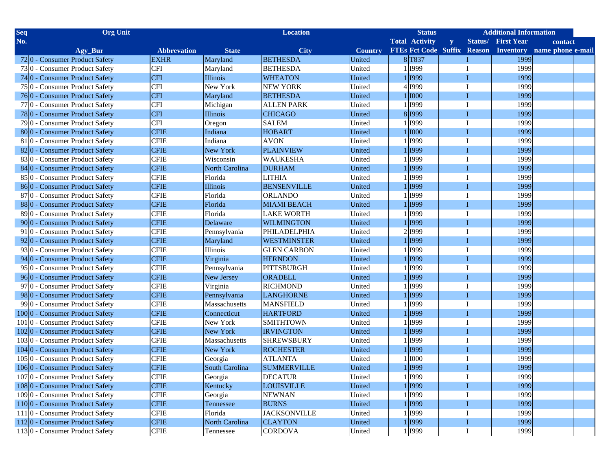| <b>Seq</b> | <b>Org Unit</b>                           |                    |                       | <b>Location</b>     |                | <b>Status</b>                                           |              | <b>Additional Information</b> |         |  |
|------------|-------------------------------------------|--------------------|-----------------------|---------------------|----------------|---------------------------------------------------------|--------------|-------------------------------|---------|--|
| No.        |                                           |                    |                       |                     |                | <b>Total Activity</b>                                   | $\mathbf{y}$ | <b>Status/ First Year</b>     | contact |  |
|            | Agy_Bur                                   | <b>Abbrevation</b> | <b>State</b>          | <b>City</b>         | <b>Country</b> | FTEs Fct Code Suffix Reason Inventory name phone e-mail |              |                               |         |  |
|            | 720 - Consumer Product Safety             | <b>EXHR</b>        | Maryland              | <b>BETHESDA</b>     | United         | 8 T837                                                  |              | 1999                          |         |  |
|            | 730 - Consumer Product Safety             | <b>CFI</b>         | Maryland              | <b>BETHESDA</b>     | United         | 1 I999                                                  |              | 1999                          |         |  |
|            | 740 - Consumer Product Safety             | <b>CFI</b>         | Illinois              | <b>WHEATON</b>      | United         | 1 1999                                                  |              | 1999                          |         |  |
|            | 75 <sup>0</sup> - Consumer Product Safety | <b>CFI</b>         | New York              | <b>NEW YORK</b>     | United         | 4 1999                                                  |              | 1999                          |         |  |
|            | 760 - Consumer Product Safety             | <b>CFI</b>         | Maryland              | <b>BETHESDA</b>     | United         | 1 1000                                                  |              | 1999                          |         |  |
|            | 77 <sup>0</sup> - Consumer Product Safety | <b>CFI</b>         | Michigan              | <b>ALLEN PARK</b>   | United         | 1 1999                                                  |              | 1999                          |         |  |
|            | 780 - Consumer Product Safety             | <b>CFI</b>         | <b>Illinois</b>       | <b>CHICAGO</b>      | United         | 8 1999                                                  |              | 1999                          |         |  |
|            | 79 0 - Consumer Product Safety            | <b>CFI</b>         | Oregon                | <b>SALEM</b>        | United         | 1 I999                                                  |              | 1999                          |         |  |
|            | 800 - Consumer Product Safety             | <b>CFIE</b>        | Indiana               | <b>HOBART</b>       | United         | 1 1000                                                  |              | 1999                          |         |  |
|            | 81 0 - Consumer Product Safety            | <b>CFIE</b>        | Indiana               | <b>AVON</b>         | United         | 1 I999                                                  |              | 1999                          |         |  |
|            | 820 - Consumer Product Safety             | <b>CFIE</b>        | New York              | <b>PLAINVIEW</b>    | United         | 1 1999                                                  |              | 1999                          |         |  |
|            | 830 - Consumer Product Safety             | <b>CFIE</b>        | Wisconsin             | <b>WAUKESHA</b>     | United         | 1 I999                                                  |              | 1999                          |         |  |
|            | 84 0 - Consumer Product Safety            | <b>CFIE</b>        | <b>North Carolina</b> | <b>DURHAM</b>       | United         | 1 1999                                                  |              | 1999                          |         |  |
|            | 850 - Consumer Product Safety             | <b>CFIE</b>        | Florida               | <b>LITHIA</b>       | United         | 1 I999                                                  |              | 1999                          |         |  |
|            | 860 - Consumer Product Safety             | <b>CFIE</b>        | Illinois              | <b>BENSENVILLE</b>  | United         | 1 1999                                                  |              | 1999                          |         |  |
|            | 87 0 - Consumer Product Safety            | <b>CFIE</b>        | Florida               | <b>ORLANDO</b>      | United         | 1999                                                    |              | 1999                          |         |  |
|            | 880 - Consumer Product Safety             | <b>CFIE</b>        | Florida               | <b>MIAMI BEACH</b>  | United         | $1 $ I999                                               |              | 1999                          |         |  |
|            | 890 - Consumer Product Safety             | <b>CFIE</b>        | Florida               | <b>LAKE WORTH</b>   | United         | <b>I999</b>                                             |              | 1999                          |         |  |
|            | 900 - Consumer Product Safety             | <b>CFIE</b>        | Delaware              | <b>WILMINGTON</b>   | United         | 1 I999                                                  |              | 1999                          |         |  |
|            | 91 0 - Consumer Product Safety            | <b>CFIE</b>        | Pennsylvania          | PHILADELPHIA        | United         | 2 1999                                                  |              | 1999                          |         |  |
|            | 920 - Consumer Product Safety             | <b>CFIE</b>        | Maryland              | <b>WESTMINSTER</b>  | United         | 1 I999                                                  |              | 1999                          |         |  |
|            | 930 - Consumer Product Safety             | <b>CFIE</b>        | Illinois              | <b>GLEN CARBON</b>  | United         | <b>I999</b>                                             |              | 1999                          |         |  |
|            | 940 - Consumer Product Safety             | <b>CFIE</b>        | Virginia              | <b>HERNDON</b>      | United         | 1 I999                                                  |              | 1999                          |         |  |
|            | 950 - Consumer Product Safety             | <b>CFIE</b>        | Pennsylvania          | PITTSBURGH          | United         | <b>I999</b>                                             |              | 1999                          |         |  |
|            | 960 - Consumer Product Safety             | <b>CFIE</b>        | New Jersey            | <b>ORADELL</b>      | United         | 1 I999                                                  |              | 1999                          |         |  |
|            | 97 0 - Consumer Product Safety            | <b>CFIE</b>        | Virginia              | <b>RICHMOND</b>     | United         | 1 I999                                                  |              | 1999                          |         |  |
|            | 980 - Consumer Product Safety             | <b>CFIE</b>        | Pennsylvania          | <b>LANGHORNE</b>    | United         | 1 1999                                                  |              | 1999                          |         |  |
|            | 99 0 - Consumer Product Safety            | <b>CFIE</b>        | Massachusetts         | <b>MANSFIELD</b>    | United         | 1 I999                                                  |              | 1999                          |         |  |
|            | 1000 - Consumer Product Safety            | <b>CFIE</b>        | Connecticut           | <b>HARTFORD</b>     | United         | 1 I999                                                  |              | 1999                          |         |  |
|            | 1010 - Consumer Product Safety            | <b>CFIE</b>        | New York              | <b>SMITHTOWN</b>    | United         | 1 I999                                                  |              | 1999                          |         |  |
|            | 1020 - Consumer Product Safety            | <b>CFIE</b>        | New York              | <b>IRVINGTON</b>    | United         | 1 1999                                                  |              | 1999                          |         |  |
|            | 1030 - Consumer Product Safety            | <b>CFIE</b>        | Massachusetts         | <b>SHREWSBURY</b>   | United         | 1 I999                                                  |              | 1999                          |         |  |
|            | 1040 - Consumer Product Safety            | <b>CFIE</b>        | New York              | <b>ROCHESTER</b>    | United         | 1 I999                                                  |              | 1999                          |         |  |
|            | 1050 - Consumer Product Safety            | <b>CFIE</b>        | Georgia               | <b>ATLANTA</b>      | United         | <b>I000</b>                                             |              | 1999                          |         |  |
|            | 1060 - Consumer Product Safety            | <b>CFIE</b>        | South Carolina        | <b>SUMMERVILLE</b>  | United         | 1 I999                                                  |              | 1999                          |         |  |
|            | 1070 - Consumer Product Safety            | <b>CFIE</b>        | Georgia               | <b>DECATUR</b>      | United         | 1 I999                                                  |              | 1999                          |         |  |
|            | 1080 - Consumer Product Safety            | <b>CFIE</b>        | Kentucky              | <b>LOUISVILLE</b>   | United         | 1 1999                                                  |              | 1999                          |         |  |
|            | 1090 - Consumer Product Safety            | <b>CFIE</b>        | Georgia               | <b>NEWNAN</b>       | United         | 1 I999                                                  |              | 1999                          |         |  |
|            | 1100 - Consumer Product Safety            | <b>CFIE</b>        | Tennessee             | <b>BURNS</b>        | United         | 1 1999                                                  |              | 1999                          |         |  |
|            | 111 0 - Consumer Product Safety           | <b>CFIE</b>        | Florida               | <b>JACKSONVILLE</b> | United         | 1 1999                                                  |              | 1999                          |         |  |
|            | 1120 - Consumer Product Safety            | <b>CFIE</b>        | North Carolina        | <b>CLAYTON</b>      | United         | 1 1999                                                  |              | 1999                          |         |  |
|            | 1130 - Consumer Product Safety            | <b>CFIE</b>        | Tennessee             | <b>CORDOVA</b>      | United         | 1 I999                                                  |              | 1999                          |         |  |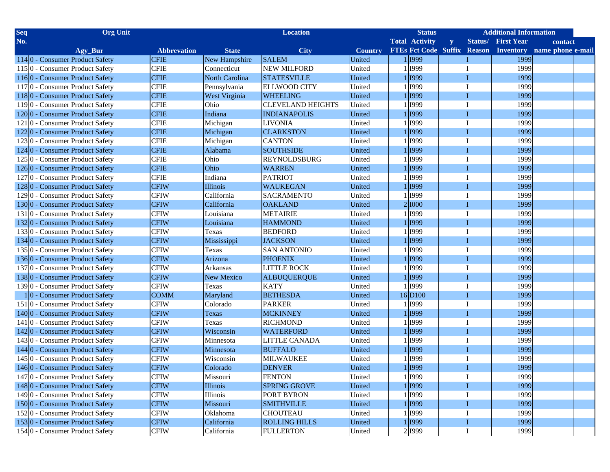| <b>Org Unit</b><br><b>Seq</b>                |                    |                      | <b>Location</b>          |                | <b>Status</b>                                           |              |         | <b>Additional Information</b> |         |  |
|----------------------------------------------|--------------------|----------------------|--------------------------|----------------|---------------------------------------------------------|--------------|---------|-------------------------------|---------|--|
| No.                                          |                    |                      |                          |                | <b>Total Activity</b>                                   | $\mathbf{y}$ | Status/ | <b>First Year</b>             | contact |  |
| Agy_Bur                                      | <b>Abbrevation</b> | <b>State</b>         | <b>City</b>              | <b>Country</b> | FTEs Fct Code Suffix Reason Inventory name phone e-mail |              |         |                               |         |  |
| 1140 - Consumer Product Safety               | <b>CFIE</b>        | New Hampshire        | <b>SALEM</b>             | United         | 1 1999                                                  |              |         | 1999                          |         |  |
| 1150 - Consumer Product Safety               | <b>CFIE</b>        | Connecticut          | <b>NEW MILFORD</b>       | United         | 1 1999                                                  |              |         | 1999                          |         |  |
| 1160 - Consumer Product Safety               | <b>CFIE</b>        | North Carolina       | <b>STATESVILLE</b>       | United         | 1 I999                                                  |              |         | 1999                          |         |  |
| 1170 - Consumer Product Safety               | <b>CFIE</b>        | Pennsylvania         | <b>ELLWOOD CITY</b>      | United         | 1999                                                    |              |         | 1999                          |         |  |
| 1180 - Consumer Product Safety               | <b>CFIE</b>        | <b>West Virginia</b> | <b>WHEELING</b>          | United         | 1 I 1999                                                |              |         | 1999                          |         |  |
| 1190 - Consumer Product Safety               | <b>CFIE</b>        | Ohio                 | <b>CLEVELAND HEIGHTS</b> | United         | l 1999                                                  |              |         | 1999                          |         |  |
| 1200 - Consumer Product Safety               | <b>CFIE</b>        | Indiana              | <b>INDIANAPOLIS</b>      | United         | 1 1999                                                  |              |         | 1999                          |         |  |
| 1210 - Consumer Product Safety               | <b>CFIE</b>        | Michigan             | <b>LIVONIA</b>           | United         | <b>I999</b>                                             |              |         | 1999                          |         |  |
| 1220 - Consumer Product Safety               | <b>CFIE</b>        | Michigan             | <b>CLARKSTON</b>         | United         | 1 I999                                                  |              |         | 1999                          |         |  |
| 1230 - Consumer Product Safety               | <b>CFIE</b>        | Michigan             | <b>CANTON</b>            | United         | 1999                                                    |              |         | 1999                          |         |  |
| 124 <sup>0</sup> - Consumer Product Safety   | <b>CFIE</b>        | Alabama              | <b>SOUTHSIDE</b>         | United         | l 1999                                                  |              |         | 1999                          |         |  |
| 1250 - Consumer Product Safety               | <b>CFIE</b>        | Ohio                 | <b>REYNOLDSBURG</b>      | United         | <b>I</b> 999                                            |              |         | 1999                          |         |  |
| 1260 - Consumer Product Safety               | <b>CFIE</b>        | Ohio                 | <b>WARREN</b>            | United         | l 1999                                                  |              |         | 1999                          |         |  |
| 1270 - Consumer Product Safety               | <b>CFIE</b>        | Indiana              | <b>PATRIOT</b>           | United         | <b>I999</b>                                             |              |         | 1999                          |         |  |
| 1280 - Consumer Product Safety               | <b>CFIW</b>        | Illinois             | <b>WAUKEGAN</b>          | United         | <b>I</b> 999                                            |              |         | 1999                          |         |  |
| 1290 - Consumer Product Safety               | <b>CFIW</b>        | California           | <b>SACRAMENTO</b>        | United         | <b>I999</b>                                             |              |         | 1999                          |         |  |
| 1300 - Consumer Product Safety               | <b>CFIW</b>        | California           | <b>OAKLAND</b>           | United         | 2 1000                                                  |              |         | 1999                          |         |  |
| 1310 - Consumer Product Safety               | <b>CFIW</b>        | Louisiana            | <b>METAIRIE</b>          | United         | <b>I999</b>                                             |              |         | 1999                          |         |  |
| 1320 - Consumer Product Safety               | <b>CFIW</b>        | Louisiana            | <b>HAMMOND</b>           | United         | <b>I</b> 999                                            |              |         | 1999                          |         |  |
| 1330 - Consumer Product Safety               | <b>CFIW</b>        | Texas                | <b>BEDFORD</b>           | United         | <b>I999</b>                                             |              |         | 1999                          |         |  |
| 1340 - Consumer Product Safety               | <b>CFIW</b>        | Mississippi          | <b>JACKSON</b>           | United         | [1999]                                                  |              |         | 1999                          |         |  |
| 1350 - Consumer Product Safety               | <b>CFIW</b>        | Texas                | <b>SAN ANTONIO</b>       | United         | <b>I999</b>                                             |              |         | 1999                          |         |  |
| 1360 - Consumer Product Safety               | <b>CFIW</b>        | Arizona              | <b>PHOENIX</b>           | United         | [1999]                                                  |              |         | 1999                          |         |  |
| 1370 - Consumer Product Safety               | <b>CFIW</b>        | <b>Arkansas</b>      | <b>LITTLE ROCK</b>       | United         | 1999                                                    |              |         | 1999                          |         |  |
| 1380 - Consumer Product Safety               | <b>CFIW</b>        | <b>New Mexico</b>    | <b>ALBUQUERQUE</b>       | United         | 1 I999                                                  |              |         | 1999                          |         |  |
| 1390 - Consumer Product Safety               | <b>CFIW</b>        | Texas                | <b>KATY</b>              | United         | 11999                                                   |              |         | 1999                          |         |  |
| 10 - Consumer Product Safety                 | <b>COMM</b>        | Maryland             | <b>BETHESDA</b>          | United         | 16D100                                                  |              |         | 1999                          |         |  |
| 1510 - Consumer Product Safety               | <b>CFIW</b>        | Colorado             | <b>PARKER</b>            | United         | 1999                                                    |              |         | 1999                          |         |  |
| 1400 - Consumer Product Safety               | <b>CFIW</b>        | <b>Texas</b>         | <b>MCKINNEY</b>          | United         | 1 1999                                                  |              |         | 1999                          |         |  |
| 141 <sup>o</sup> - Consumer Product Safety   | <b>CFIW</b>        | Texas                | <b>RICHMOND</b>          | United         | 1999                                                    |              |         | 1999                          |         |  |
| 1420 - Consumer Product Safety               | <b>CFIW</b>        | Wisconsin            | <b>WATERFORD</b>         | United         | l 1999                                                  |              |         | 1999                          |         |  |
| 1430 - Consumer Product Safety               | <b>CFIW</b>        | Minnesota            | <b>LITTLE CANADA</b>     | United         | 1999                                                    |              |         | 1999                          |         |  |
| 144 <sup> </sup> 0 - Consumer Product Safety | <b>CFIW</b>        | Minnesota            | <b>BUFFALO</b>           | United         | $\frac{1}{1999}$                                        |              |         | 1999                          |         |  |
| 1450 - Consumer Product Safety               | <b>CFIW</b>        | Wisconsin            | <b>MILWAUKEE</b>         | United         | <b>I999</b>                                             |              |         | 1999                          |         |  |
| 1460 - Consumer Product Safety               | <b>CFIW</b>        | Colorado             | <b>DENVER</b>            | United         | 11999                                                   |              |         | 1999                          |         |  |
| 147 0 - Consumer Product Safety              | <b>CFIW</b>        | Missouri             | <b>FENTON</b>            | United         | 1 1999                                                  |              |         | 1999                          |         |  |
| 1480 - Consumer Product Safety               | <b>CFIW</b>        | Illinois             | <b>SPRING GROVE</b>      | United         | 1 1999                                                  |              |         | 1999                          |         |  |
| 1490 - Consumer Product Safety               | <b>CFIW</b>        | Illinois             | PORT BYRON               | United         | 1 I999                                                  |              |         | 1999                          |         |  |
| 1500 - Consumer Product Safety               | <b>CFIW</b>        | Missouri             | <b>SMITHVILLE</b>        | United         | 1 1999                                                  |              |         | 1999                          |         |  |
| 1520 - Consumer Product Safety               | <b>CFIW</b>        | Oklahoma             | <b>CHOUTEAU</b>          | United         | 1 I999                                                  |              |         | 1999                          |         |  |
| 1530 - Consumer Product Safety               | <b>CFIW</b>        | California           | <b>ROLLING HILLS</b>     | United         | 1 1999                                                  |              |         | 1999                          |         |  |
| 1540 - Consumer Product Safety               | <b>CFIW</b>        | California           | <b>FULLERTON</b>         | United         | 2 1999                                                  |              |         | 1999                          |         |  |